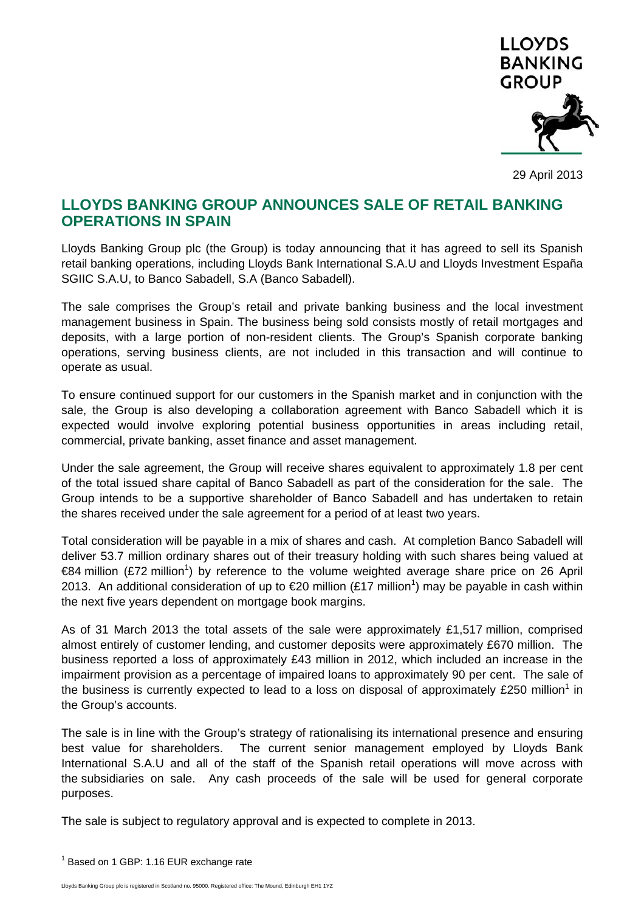

29 April 2013

# **LLOYDS BANKING GROUP ANNOUNCES SALE OF RETAIL BANKING OPERATIONS IN SPAIN**

Lloyds Banking Group plc (the Group) is today announcing that it has agreed to sell its Spanish retail banking operations, including Lloyds Bank International S.A.U and Lloyds Investment España SGIIC S.A.U, to Banco Sabadell, S.A (Banco Sabadell).

The sale comprises the Group's retail and private banking business and the local investment management business in Spain. The business being sold consists mostly of retail mortgages and deposits, with a large portion of non-resident clients. The Group's Spanish corporate banking operations, serving business clients, are not included in this transaction and will continue to operate as usual.

To ensure continued support for our customers in the Spanish market and in conjunction with the sale, the Group is also developing a collaboration agreement with Banco Sabadell which it is expected would involve exploring potential business opportunities in areas including retail, commercial, private banking, asset finance and asset management.

Under the sale agreement, the Group will receive shares equivalent to approximately 1.8 per cent of the total issued share capital of Banco Sabadell as part of the consideration for the sale. The Group intends to be a supportive shareholder of Banco Sabadell and has undertaken to retain the shares received under the sale agreement for a period of at least two years.

Total consideration will be payable in a mix of shares and cash. At completion Banco Sabadell will deliver 53.7 million ordinary shares out of their treasury holding with such shares being valued at €84 million (£72 million<sup>1</sup>) by reference to the volume weighted average share price on 26 April 2013. An additional consideration of up to €20 million (£17 million<sup>1</sup>) may be payable in cash within the next five years dependent on mortgage book margins.

As of 31 March 2013 the total assets of the sale were approximately £1,517 million, comprised almost entirely of customer lending, and customer deposits were approximately £670 million. The business reported a loss of approximately £43 million in 2012, which included an increase in the impairment provision as a percentage of impaired loans to approximately 90 per cent. The sale of the business is currently expected to lead to a loss on disposal of approximately £250 million<sup>1</sup> in the Group's accounts.

The sale is in line with the Group's strategy of rationalising its international presence and ensuring best value for shareholders. The current senior management employed by Lloyds Bank International S.A.U and all of the staff of the Spanish retail operations will move across with the subsidiaries on sale. Any cash proceeds of the sale will be used for general corporate purposes.

The sale is subject to regulatory approval and is expected to complete in 2013.

 $1$  Based on 1 GBP: 1.16 EUR exchange rate